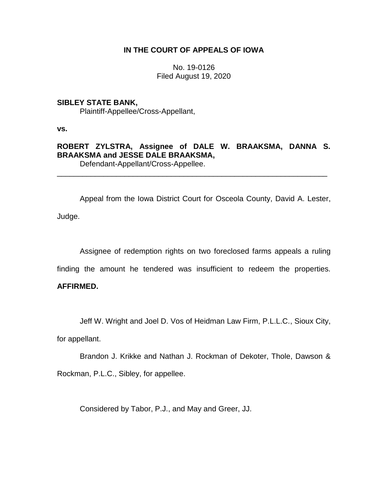## **IN THE COURT OF APPEALS OF IOWA**

No. 19-0126 Filed August 19, 2020

# **SIBLEY STATE BANK,** Plaintiff-Appellee/Cross-Appellant,

**vs.**

**ROBERT ZYLSTRA, Assignee of DALE W. BRAAKSMA, DANNA S. BRAAKSMA and JESSE DALE BRAAKSMA,** Defendant-Appellant/Cross-Appellee.

\_\_\_\_\_\_\_\_\_\_\_\_\_\_\_\_\_\_\_\_\_\_\_\_\_\_\_\_\_\_\_\_\_\_\_\_\_\_\_\_\_\_\_\_\_\_\_\_\_\_\_\_\_\_\_\_\_\_\_\_\_\_\_\_

Appeal from the Iowa District Court for Osceola County, David A. Lester, Judge.

Assignee of redemption rights on two foreclosed farms appeals a ruling

finding the amount he tendered was insufficient to redeem the properties.

# **AFFIRMED.**

Jeff W. Wright and Joel D. Vos of Heidman Law Firm, P.L.L.C., Sioux City,

for appellant.

Brandon J. Krikke and Nathan J. Rockman of Dekoter, Thole, Dawson & Rockman, P.L.C., Sibley, for appellee.

Considered by Tabor, P.J., and May and Greer, JJ.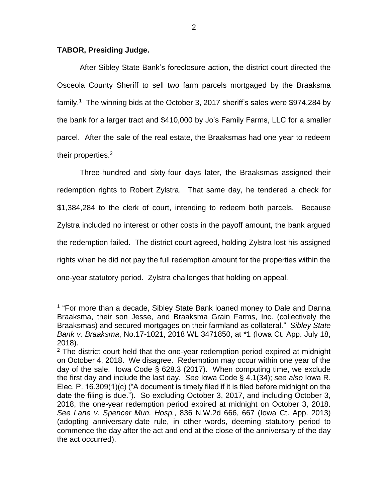## **TABOR, Presiding Judge.**

 $\overline{a}$ 

After Sibley State Bank's foreclosure action, the district court directed the Osceola County Sheriff to sell two farm parcels mortgaged by the Braaksma family.<sup>1</sup> The winning bids at the October 3, 2017 sheriff's sales were \$974,284 by the bank for a larger tract and \$410,000 by Jo's Family Farms, LLC for a smaller parcel. After the sale of the real estate, the Braaksmas had one year to redeem their properties.<sup>2</sup>

Three-hundred and sixty-four days later, the Braaksmas assigned their redemption rights to Robert Zylstra. That same day, he tendered a check for \$1,384,284 to the clerk of court, intending to redeem both parcels. Because Zylstra included no interest or other costs in the payoff amount, the bank argued the redemption failed. The district court agreed, holding Zylstra lost his assigned rights when he did not pay the full redemption amount for the properties within the one-year statutory period. Zylstra challenges that holding on appeal.

<sup>&</sup>lt;sup>1</sup> "For more than a decade, Sibley State Bank loaned money to Dale and Danna Braaksma, their son Jesse, and Braaksma Grain Farms, Inc. (collectively the Braaksmas) and secured mortgages on their farmland as collateral." *Sibley State Bank v. Braaksma*, No.17-1021, 2018 WL 3471850, at \*1 (Iowa Ct. App. July 18, 2018).

 $2$  The district court held that the one-year redemption period expired at midnight on October 4, 2018. We disagree. Redemption may occur within one year of the day of the sale. Iowa Code § 628.3 (2017). When computing time, we exclude the first day and include the last day. *See* Iowa Code § 4.1(34); *see also* Iowa R. Elec. P. 16.309(1)(c) ("A document is timely filed if it is filed before midnight on the date the filing is due."). So excluding October 3, 2017, and including October 3, 2018, the one-year redemption period expired at midnight on October 3, 2018. *See Lane v. Spencer Mun. Hosp.*, 836 N.W.2d 666, 667 (Iowa Ct. App. 2013) (adopting anniversary-date rule, in other words, deeming statutory period to commence the day after the act and end at the close of the anniversary of the day the act occurred).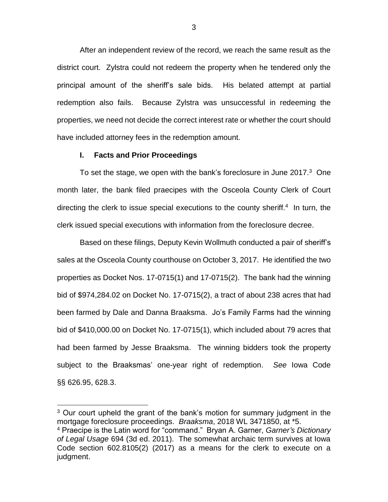After an independent review of the record, we reach the same result as the district court. Zylstra could not redeem the property when he tendered only the principal amount of the sheriff's sale bids. His belated attempt at partial redemption also fails. Because Zylstra was unsuccessful in redeeming the properties, we need not decide the correct interest rate or whether the court should have included attorney fees in the redemption amount.

### **I. Facts and Prior Proceedings**

 $\overline{a}$ 

To set the stage, we open with the bank's foreclosure in June 2017.<sup>3</sup> One month later, the bank filed praecipes with the Osceola County Clerk of Court directing the clerk to issue special executions to the county sheriff.<sup>4</sup> In turn, the clerk issued special executions with information from the foreclosure decree.

Based on these filings, Deputy Kevin Wollmuth conducted a pair of sheriff's sales at the Osceola County courthouse on October 3, 2017. He identified the two properties as Docket Nos. 17-0715(1) and 17-0715(2). The bank had the winning bid of \$974,284.02 on Docket No. 17-0715(2), a tract of about 238 acres that had been farmed by Dale and Danna Braaksma. Jo's Family Farms had the winning bid of \$410,000.00 on Docket No. 17-0715(1), which included about 79 acres that had been farmed by Jesse Braaksma. The winning bidders took the property subject to the Braaksmas' one-year right of redemption. *See* Iowa Code §§ 626.95, 628.3.

<sup>&</sup>lt;sup>3</sup> Our court upheld the grant of the bank's motion for summary judgment in the mortgage foreclosure proceedings. *Braaksma*, 2018 WL 3471850, at \*5.

<sup>4</sup> Praecipe is the Latin word for "command." Bryan A. Garner, *Garner's Dictionary of Legal Usage* 694 (3d ed. 2011). The somewhat archaic term survives at Iowa Code section 602.8105(2) (2017) as a means for the clerk to execute on a judgment.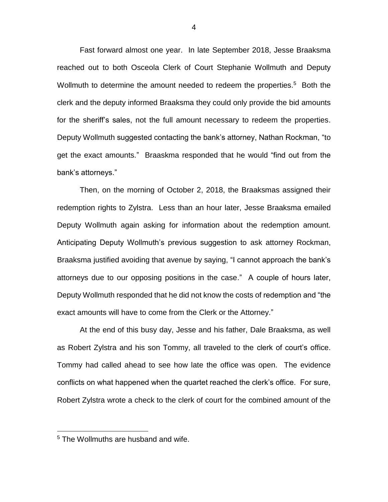Fast forward almost one year. In late September 2018, Jesse Braaksma reached out to both Osceola Clerk of Court Stephanie Wollmuth and Deputy Wollmuth to determine the amount needed to redeem the properties.<sup>5</sup> Both the clerk and the deputy informed Braaksma they could only provide the bid amounts for the sheriff's sales, not the full amount necessary to redeem the properties. Deputy Wollmuth suggested contacting the bank's attorney, Nathan Rockman, "to get the exact amounts." Braaskma responded that he would "find out from the bank's attorneys."

Then, on the morning of October 2, 2018, the Braaksmas assigned their redemption rights to Zylstra. Less than an hour later, Jesse Braaksma emailed Deputy Wollmuth again asking for information about the redemption amount. Anticipating Deputy Wollmuth's previous suggestion to ask attorney Rockman, Braaksma justified avoiding that avenue by saying, "I cannot approach the bank's attorneys due to our opposing positions in the case." A couple of hours later, Deputy Wollmuth responded that he did not know the costs of redemption and "the exact amounts will have to come from the Clerk or the Attorney."

At the end of this busy day, Jesse and his father, Dale Braaksma, as well as Robert Zylstra and his son Tommy, all traveled to the clerk of court's office. Tommy had called ahead to see how late the office was open. The evidence conflicts on what happened when the quartet reached the clerk's office. For sure, Robert Zylstra wrote a check to the clerk of court for the combined amount of the

 $\overline{a}$ 

4

<sup>&</sup>lt;sup>5</sup> The Wollmuths are husband and wife.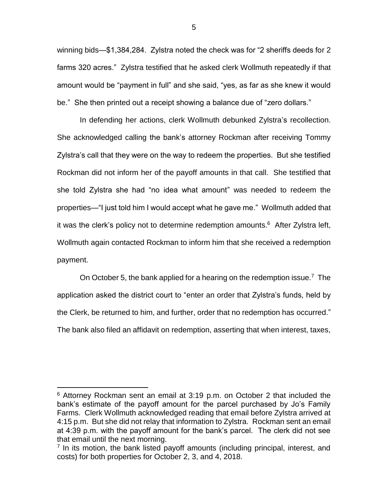winning bids—\$1,384,284. Zylstra noted the check was for "2 sheriffs deeds for 2 farms 320 acres." Zylstra testified that he asked clerk Wollmuth repeatedly if that amount would be "payment in full" and she said, "yes, as far as she knew it would be." She then printed out a receipt showing a balance due of "zero dollars."

In defending her actions, clerk Wollmuth debunked Zylstra's recollection. She acknowledged calling the bank's attorney Rockman after receiving Tommy Zylstra's call that they were on the way to redeem the properties. But she testified Rockman did not inform her of the payoff amounts in that call. She testified that she told Zylstra she had "no idea what amount" was needed to redeem the properties—"I just told him I would accept what he gave me." Wollmuth added that it was the clerk's policy not to determine redemption amounts.<sup>6</sup> After Zylstra left, Wollmuth again contacted Rockman to inform him that she received a redemption payment.

On October 5, the bank applied for a hearing on the redemption issue.<sup>7</sup> The application asked the district court to "enter an order that Zylstra's funds, held by the Clerk, be returned to him, and further, order that no redemption has occurred." The bank also filed an affidavit on redemption, asserting that when interest, taxes,

 $6$  Attorney Rockman sent an email at 3:19 p.m. on October 2 that included the bank's estimate of the payoff amount for the parcel purchased by Jo's Family Farms. Clerk Wollmuth acknowledged reading that email before Zylstra arrived at 4:15 p.m. But she did not relay that information to Zylstra. Rockman sent an email at 4:39 p.m. with the payoff amount for the bank's parcel. The clerk did not see that email until the next morning.

<sup>&</sup>lt;sup>7</sup> In its motion, the bank listed payoff amounts (including principal, interest, and costs) for both properties for October 2, 3, and 4, 2018.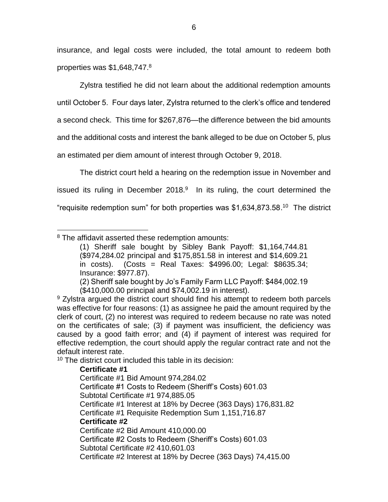insurance, and legal costs were included, the total amount to redeem both properties was \$1,648,747.<sup>8</sup>

Zylstra testified he did not learn about the additional redemption amounts until October 5. Four days later, Zylstra returned to the clerk's office and tendered a second check. This time for \$267,876—the difference between the bid amounts and the additional costs and interest the bank alleged to be due on October 5, plus an estimated per diem amount of interest through October 9, 2018.

The district court held a hearing on the redemption issue in November and issued its ruling in December 2018. $9$  In its ruling, the court determined the "requisite redemption sum" for both properties was \$1,634,873.58. 10 The district

<sup>10</sup> The district court included this table in its decision:

# **Certificate #1**

Certificate #1 Bid Amount 974,284.02 Certificate #1 Costs to Redeem (Sheriff's Costs) 601.03 Subtotal Certificate #1 974,885.05 Certificate #1 Interest at 18% by Decree (363 Days) 176,831.82 Certificate #1 Requisite Redemption Sum 1,151,716.87 **Certificate #2** Certificate #2 Bid Amount 410,000.00 Certificate #2 Costs to Redeem (Sheriff's Costs) 601.03 Subtotal Certificate #2 410,601.03 Certificate #2 Interest at 18% by Decree (363 Days) 74,415.00

 $\overline{a}$ <sup>8</sup> The affidavit asserted these redemption amounts:

<sup>(1)</sup> Sheriff sale bought by Sibley Bank Payoff: \$1,164,744.81 (\$974,284.02 principal and \$175,851.58 in interest and \$14,609.21 in costs). (Costs = Real Taxes: \$4996.00; Legal: \$8635.34; Insurance: \$977.87).

<sup>(2)</sup> Sheriff sale bought by Jo's Family Farm LLC Payoff: \$484,002.19 (\$410,000.00 principal and \$74,002.19 in interest).

 $9$  Zylstra argued the district court should find his attempt to redeem both parcels was effective for four reasons: (1) as assignee he paid the amount required by the clerk of court, (2) no interest was required to redeem because no rate was noted on the certificates of sale; (3) if payment was insufficient, the deficiency was caused by a good faith error; and (4) if payment of interest was required for effective redemption, the court should apply the regular contract rate and not the default interest rate.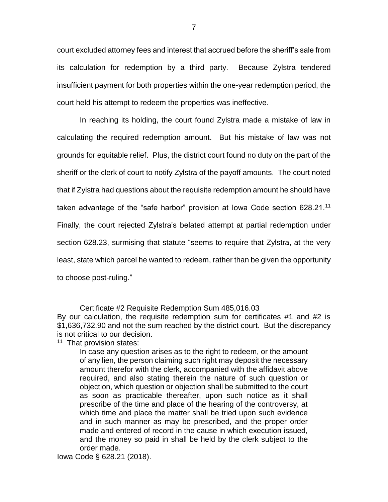court excluded attorney fees and interest that accrued before the sheriff's sale from its calculation for redemption by a third party. Because Zylstra tendered insufficient payment for both properties within the one-year redemption period, the court held his attempt to redeem the properties was ineffective.

In reaching its holding, the court found Zylstra made a mistake of law in calculating the required redemption amount. But his mistake of law was not grounds for equitable relief. Plus, the district court found no duty on the part of the sheriff or the clerk of court to notify Zylstra of the payoff amounts. The court noted that if Zylstra had questions about the requisite redemption amount he should have taken advantage of the "safe harbor" provision at Iowa Code section 628.21.<sup>11</sup> Finally, the court rejected Zylstra's belated attempt at partial redemption under section 628.23, surmising that statute "seems to require that Zylstra, at the very least, state which parcel he wanted to redeem, rather than be given the opportunity to choose post-ruling."

<sup>11</sup> That provision states:

Certificate #2 Requisite Redemption Sum 485,016.03

By our calculation, the requisite redemption sum for certificates #1 and #2 is \$1,636,732.90 and not the sum reached by the district court. But the discrepancy is not critical to our decision.

In case any question arises as to the right to redeem, or the amount of any lien, the person claiming such right may deposit the necessary amount therefor with the clerk, accompanied with the affidavit above required, and also stating therein the nature of such question or objection, which question or objection shall be submitted to the court as soon as practicable thereafter, upon such notice as it shall prescribe of the time and place of the hearing of the controversy, at which time and place the matter shall be tried upon such evidence and in such manner as may be prescribed, and the proper order made and entered of record in the cause in which execution issued, and the money so paid in shall be held by the clerk subject to the order made.

Iowa Code § 628.21 (2018).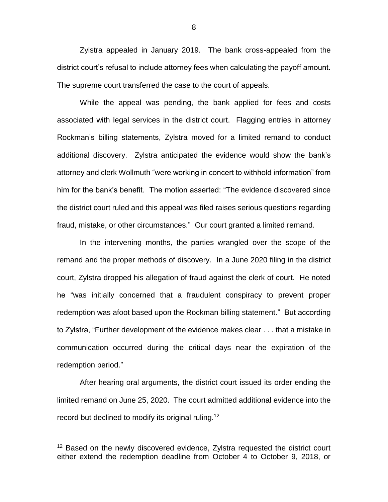Zylstra appealed in January 2019. The bank cross-appealed from the district court's refusal to include attorney fees when calculating the payoff amount. The supreme court transferred the case to the court of appeals.

While the appeal was pending, the bank applied for fees and costs associated with legal services in the district court. Flagging entries in attorney Rockman's billing statements, Zylstra moved for a limited remand to conduct additional discovery. Zylstra anticipated the evidence would show the bank's attorney and clerk Wollmuth "were working in concert to withhold information" from him for the bank's benefit. The motion asserted: "The evidence discovered since the district court ruled and this appeal was filed raises serious questions regarding fraud, mistake, or other circumstances." Our court granted a limited remand.

In the intervening months, the parties wrangled over the scope of the remand and the proper methods of discovery. In a June 2020 filing in the district court, Zylstra dropped his allegation of fraud against the clerk of court. He noted he "was initially concerned that a fraudulent conspiracy to prevent proper redemption was afoot based upon the Rockman billing statement." But according to Zylstra, "Further development of the evidence makes clear . . . that a mistake in communication occurred during the critical days near the expiration of the redemption period."

After hearing oral arguments, the district court issued its order ending the limited remand on June 25, 2020. The court admitted additional evidence into the record but declined to modify its original ruling.<sup>12</sup>

 $\overline{a}$ 

8

<sup>&</sup>lt;sup>12</sup> Based on the newly discovered evidence, Zylstra requested the district court either extend the redemption deadline from October 4 to October 9, 2018, or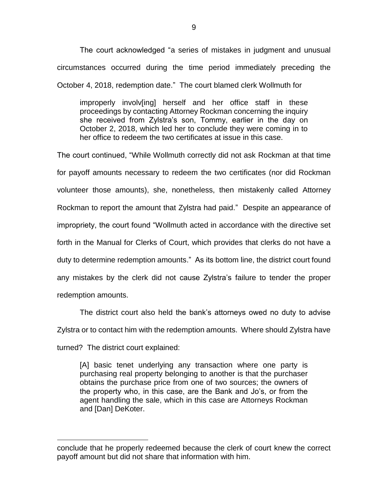The court acknowledged "a series of mistakes in judgment and unusual circumstances occurred during the time period immediately preceding the October 4, 2018, redemption date." The court blamed clerk Wollmuth for

improperly involv[ing] herself and her office staff in these proceedings by contacting Attorney Rockman concerning the inquiry she received from Zylstra's son, Tommy, earlier in the day on October 2, 2018, which led her to conclude they were coming in to her office to redeem the two certificates at issue in this case.

The court continued, "While Wollmuth correctly did not ask Rockman at that time for payoff amounts necessary to redeem the two certificates (nor did Rockman volunteer those amounts), she, nonetheless, then mistakenly called Attorney Rockman to report the amount that Zylstra had paid." Despite an appearance of impropriety, the court found "Wollmuth acted in accordance with the directive set forth in the Manual for Clerks of Court, which provides that clerks do not have a duty to determine redemption amounts." As its bottom line, the district court found any mistakes by the clerk did not cause Zylstra's failure to tender the proper redemption amounts.

The district court also held the bank's attorneys owed no duty to advise Zylstra or to contact him with the redemption amounts. Where should Zylstra have turned? The district court explained:

[A] basic tenet underlying any transaction where one party is purchasing real property belonging to another is that the purchaser obtains the purchase price from one of two sources; the owners of the property who, in this case, are the Bank and Jo's, or from the agent handling the sale, which in this case are Attorneys Rockman and [Dan] DeKoter.

conclude that he properly redeemed because the clerk of court knew the correct payoff amount but did not share that information with him.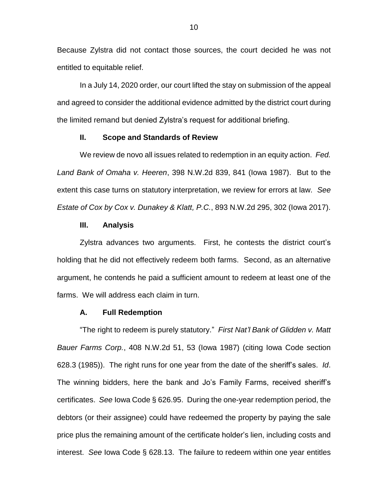Because Zylstra did not contact those sources, the court decided he was not entitled to equitable relief.

In a July 14, 2020 order, our court lifted the stay on submission of the appeal and agreed to consider the additional evidence admitted by the district court during the limited remand but denied Zylstra's request for additional briefing.

## **II. Scope and Standards of Review**

We review de novo all issues related to redemption in an equity action. *Fed. Land Bank of Omaha v. Heeren*, 398 N.W.2d 839, 841 (Iowa 1987). But to the extent this case turns on statutory interpretation, we review for errors at law. *See Estate of Cox by Cox v. Dunakey & Klatt, P.C.*, 893 N.W.2d 295, 302 (Iowa 2017).

#### **III. Analysis**

Zylstra advances two arguments. First, he contests the district court's holding that he did not effectively redeem both farms. Second, as an alternative argument, he contends he paid a sufficient amount to redeem at least one of the farms. We will address each claim in turn.

#### **A. Full Redemption**

"The right to redeem is purely statutory." *First Nat'l Bank of Glidden v. Matt Bauer Farms Corp.*, 408 N.W.2d 51, 53 (Iowa 1987) (citing Iowa Code section 628.3 (1985)). The right runs for one year from the date of the sheriff's sales. *Id*. The winning bidders, here the bank and Jo's Family Farms, received sheriff's certificates. *See* Iowa Code § 626.95. During the one-year redemption period, the debtors (or their assignee) could have redeemed the property by paying the sale price plus the remaining amount of the certificate holder's lien, including costs and interest. *See* Iowa Code § 628.13. The failure to redeem within one year entitles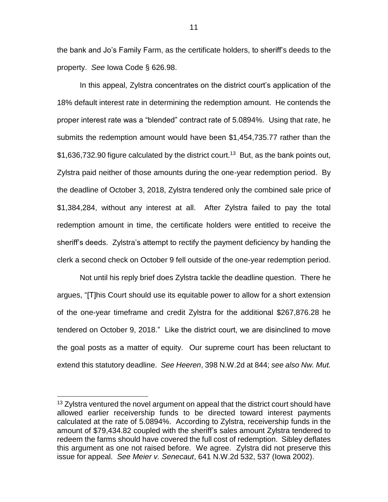the bank and Jo's Family Farm, as the certificate holders, to sheriff's deeds to the property. *See* Iowa Code § 626.98.

In this appeal, Zylstra concentrates on the district court's application of the 18% default interest rate in determining the redemption amount. He contends the proper interest rate was a "blended" contract rate of 5.0894%. Using that rate, he submits the redemption amount would have been \$1,454,735.77 rather than the \$1,636,732.90 figure calculated by the district court.<sup>13</sup> But, as the bank points out, Zylstra paid neither of those amounts during the one-year redemption period. By the deadline of October 3, 2018, Zylstra tendered only the combined sale price of \$1,384,284, without any interest at all. After Zylstra failed to pay the total redemption amount in time, the certificate holders were entitled to receive the sheriff's deeds. Zylstra's attempt to rectify the payment deficiency by handing the clerk a second check on October 9 fell outside of the one-year redemption period.

Not until his reply brief does Zylstra tackle the deadline question. There he argues, "[T]his Court should use its equitable power to allow for a short extension of the one-year timeframe and credit Zylstra for the additional \$267,876.28 he tendered on October 9, 2018." Like the district court, we are disinclined to move the goal posts as a matter of equity. Our supreme court has been reluctant to extend this statutory deadline. *See Heeren*, 398 N.W.2d at 844; *see also Nw. Mut.* 

 $13$  Zylstra ventured the novel argument on appeal that the district court should have allowed earlier receivership funds to be directed toward interest payments calculated at the rate of 5.0894%. According to Zylstra, receivership funds in the amount of \$79,434.82 coupled with the sheriff's sales amount Zylstra tendered to redeem the farms should have covered the full cost of redemption. Sibley deflates this argument as one not raised before. We agree. Zylstra did not preserve this issue for appeal. *See Meier v. Senecaut*, 641 N.W.2d 532, 537 (Iowa 2002).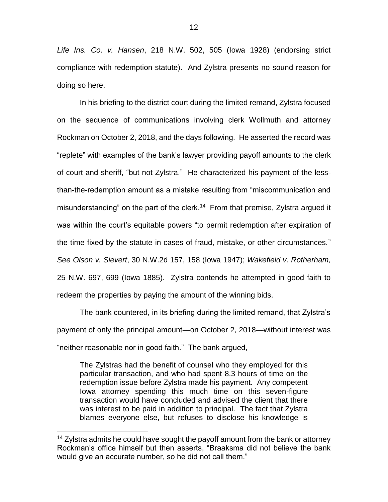*Life Ins. Co. v. Hansen*, 218 N.W. 502, 505 (Iowa 1928) (endorsing strict compliance with redemption statute). And Zylstra presents no sound reason for doing so here.

In his briefing to the district court during the limited remand, Zylstra focused on the sequence of communications involving clerk Wollmuth and attorney Rockman on October 2, 2018, and the days following. He asserted the record was "replete" with examples of the bank's lawyer providing payoff amounts to the clerk of court and sheriff, "but not Zylstra." He characterized his payment of the lessthan-the-redemption amount as a mistake resulting from "miscommunication and misunderstanding" on the part of the clerk.<sup>14</sup> From that premise, Zylstra argued it was within the court's equitable powers "to permit redemption after expiration of the time fixed by the statute in cases of fraud, mistake, or other circumstances." *See Olson v. Sievert*, 30 N.W.2d 157, 158 (Iowa 1947); *Wakefield v. Rotherham,*  25 N.W. 697, 699 (Iowa 1885). Zylstra contends he attempted in good faith to redeem the properties by paying the amount of the winning bids.

The bank countered, in its briefing during the limited remand, that Zylstra's payment of only the principal amount—on October 2, 2018—without interest was "neither reasonable nor in good faith." The bank argued,

The Zylstras had the benefit of counsel who they employed for this particular transaction, and who had spent 8.3 hours of time on the redemption issue before Zylstra made his payment. Any competent Iowa attorney spending this much time on this seven-figure transaction would have concluded and advised the client that there was interest to be paid in addition to principal. The fact that Zylstra blames everyone else, but refuses to disclose his knowledge is

<sup>&</sup>lt;sup>14</sup> Zylstra admits he could have sought the payoff amount from the bank or attorney Rockman's office himself but then asserts, "Braaksma did not believe the bank would give an accurate number, so he did not call them."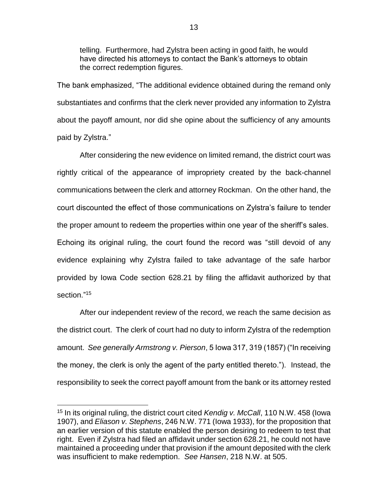telling. Furthermore, had Zylstra been acting in good faith, he would have directed his attorneys to contact the Bank's attorneys to obtain the correct redemption figures.

The bank emphasized, "The additional evidence obtained during the remand only substantiates and confirms that the clerk never provided any information to Zylstra about the payoff amount, nor did she opine about the sufficiency of any amounts paid by Zylstra."

After considering the new evidence on limited remand, the district court was rightly critical of the appearance of impropriety created by the back-channel communications between the clerk and attorney Rockman. On the other hand, the court discounted the effect of those communications on Zylstra's failure to tender the proper amount to redeem the properties within one year of the sheriff's sales. Echoing its original ruling, the court found the record was "still devoid of any evidence explaining why Zylstra failed to take advantage of the safe harbor provided by Iowa Code section 628.21 by filing the affidavit authorized by that section." 15

After our independent review of the record, we reach the same decision as the district court. The clerk of court had no duty to inform Zylstra of the redemption amount. *See generally Armstrong v. Pierson*, 5 Iowa 317, 319 (1857) ("In receiving the money, the clerk is only the agent of the party entitled thereto."). Instead, the responsibility to seek the correct payoff amount from the bank or its attorney rested

<sup>15</sup> In its original ruling, the district court cited *Kendig v. McCall*, 110 N.W. 458 (Iowa 1907), and *Eliason v. Stephens*, 246 N.W. 771 (Iowa 1933), for the proposition that an earlier version of this statute enabled the person desiring to redeem to test that right. Even if Zylstra had filed an affidavit under section 628.21, he could not have maintained a proceeding under that provision if the amount deposited with the clerk was insufficient to make redemption. *See Hansen*, 218 N.W. at 505.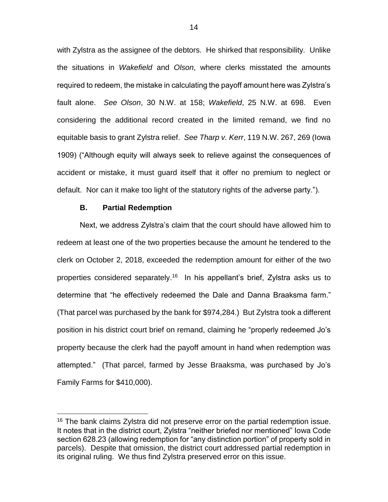with Zylstra as the assignee of the debtors. He shirked that responsibility. Unlike the situations in *Wakefield* and *Olson*, where clerks misstated the amounts required to redeem, the mistake in calculating the payoff amount here was Zylstra's fault alone. *See Olson*, 30 N.W. at 158; *Wakefield*, 25 N.W. at 698. Even considering the additional record created in the limited remand, we find no equitable basis to grant Zylstra relief. *See Tharp v. Kerr*, 119 N.W. 267, 269 (Iowa 1909) ("Although equity will always seek to relieve against the consequences of accident or mistake, it must guard itself that it offer no premium to neglect or default. Nor can it make too light of the statutory rights of the adverse party.").

## **B. Partial Redemption**

 $\overline{a}$ 

Next, we address Zylstra's claim that the court should have allowed him to redeem at least one of the two properties because the amount he tendered to the clerk on October 2, 2018, exceeded the redemption amount for either of the two properties considered separately.<sup>16</sup> In his appellant's brief, Zylstra asks us to determine that "he effectively redeemed the Dale and Danna Braaksma farm." (That parcel was purchased by the bank for \$974,284.) But Zylstra took a different position in his district court brief on remand, claiming he "properly redeemed Jo's property because the clerk had the payoff amount in hand when redemption was attempted." (That parcel, farmed by Jesse Braaksma, was purchased by Jo's Family Farms for \$410,000).

<sup>&</sup>lt;sup>16</sup> The bank claims Zylstra did not preserve error on the partial redemption issue. It notes that in the district court, Zylstra "neither briefed nor mentioned" Iowa Code section 628.23 (allowing redemption for "any distinction portion" of property sold in parcels). Despite that omission, the district court addressed partial redemption in its original ruling. We thus find Zylstra preserved error on this issue.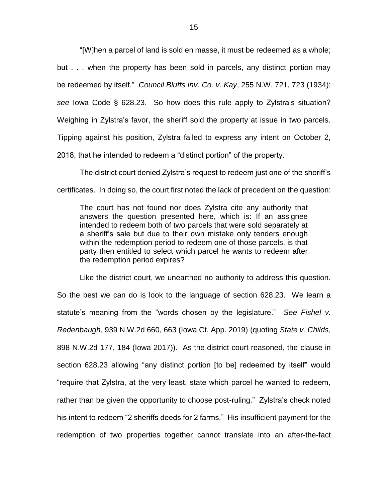"[W]hen a parcel of land is sold en masse, it must be redeemed as a whole; but . . . when the property has been sold in parcels, any distinct portion may be redeemed by itself." *Council Bluffs Inv. Co. v. Kay*, 255 N.W. 721, 723 (1934); *see* Iowa Code § 628.23. So how does this rule apply to Zylstra's situation? Weighing in Zylstra's favor, the sheriff sold the property at issue in two parcels. Tipping against his position, Zylstra failed to express any intent on October 2, 2018, that he intended to redeem a "distinct portion" of the property.

The district court denied Zylstra's request to redeem just one of the sheriff's certificates. In doing so, the court first noted the lack of precedent on the question:

The court has not found nor does Zylstra cite any authority that answers the question presented here, which is: If an assignee intended to redeem both of two parcels that were sold separately at a sheriff's sale but due to their own mistake only tenders enough within the redemption period to redeem one of those parcels, is that party then entitled to select which parcel he wants to redeem after the redemption period expires?

Like the district court, we unearthed no authority to address this question. So the best we can do is look to the language of section 628.23. We learn a statute's meaning from the "words chosen by the legislature." *See Fishel v. Redenbaugh*, 939 N.W.2d 660, 663 (Iowa Ct. App. 2019) (quoting *State v. Childs*, 898 N.W.2d 177, 184 (Iowa 2017)). As the district court reasoned, the clause in section 628.23 allowing "any distinct portion [to be] redeemed by itself" would "require that Zylstra, at the very least, state which parcel he wanted to redeem, rather than be given the opportunity to choose post-ruling." Zylstra's check noted his intent to redeem "2 sheriffs deeds for 2 farms." His insufficient payment for the redemption of two properties together cannot translate into an after-the-fact